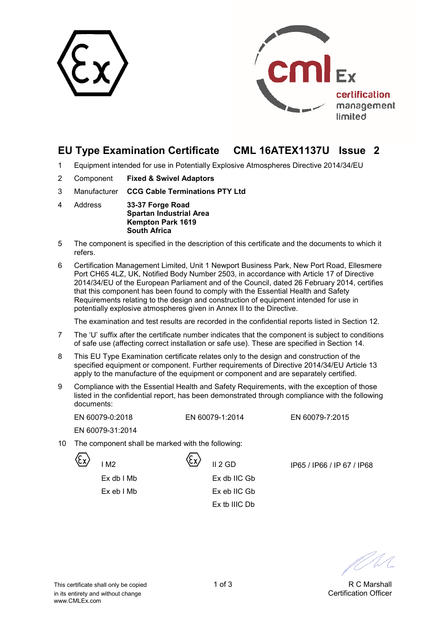



# **EU Type Examination Certificate CML 16ATEX1137U Issue 2**

- 1 Equipment intended for use in Potentially Explosive Atmospheres Directive 2014/34/EU
- 2 Component **Fixed & Swivel Adaptors**
- 3 Manufacturer **CCG Cable Terminations PTY Ltd**
- 4 Address **33-37 Forge Road Spartan Industrial Area Kempton Park 1619 South Africa**
- 5 The component is specified in the description of this certificate and the documents to which it refers.
- 6 Certification Management Limited, Unit 1 Newport Business Park, New Port Road, Ellesmere Port CH65 4LZ, UK, Notified Body Number 2503, in accordance with Article 17 of Directive 2014/34/EU of the European Parliament and of the Council, dated 26 February 2014, certifies that this component has been found to comply with the Essential Health and Safety Requirements relating to the design and construction of equipment intended for use in potentially explosive atmospheres given in Annex II to the Directive.

The examination and test results are recorded in the confidential reports listed in Section 12.

- 7 The 'U' suffix after the certificate number indicates that the component is subject to conditions of safe use (affecting correct installation or safe use). These are specified in Section 14.
- 8 This EU Type Examination certificate relates only to the design and construction of the specified equipment or component. Further requirements of Directive 2014/34/EU Article 13 apply to the manufacture of the equipment or component and are separately certified.
- 9 Compliance with the Essential Health and Safety Requirements, with the exception of those listed in the confidential report, has been demonstrated through compliance with the following documents:

EN 60079-0:2018 EN 60079-1:2014 EN 60079-7:2015

EN 60079-31:2014

10 The component shall be marked with the following:



 Ex db I Mb Ex db IIC Gb Ex eb I Mb Ex eb IIC Gb

Ex tb IIIC Db

 $\frac{X}{2}$  II 2 GD IP65 / IP66 / IP 67 / IP68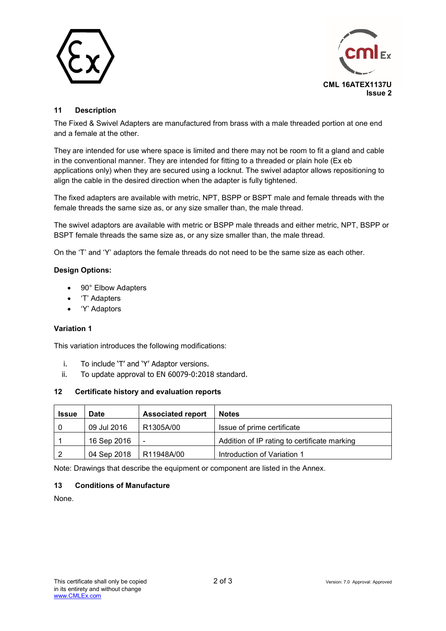



# **11 Description**

The Fixed & Swivel Adapters are manufactured from brass with a male threaded portion at one end and a female at the other.

They are intended for use where space is limited and there may not be room to fit a gland and cable in the conventional manner. They are intended for fitting to a threaded or plain hole (Ex eb applications only) when they are secured using a locknut. The swivel adaptor allows repositioning to align the cable in the desired direction when the adapter is fully tightened.

The fixed adapters are available with metric, NPT, BSPP or BSPT male and female threads with the female threads the same size as, or any size smaller than, the male thread.

The swivel adaptors are available with metric or BSPP male threads and either metric, NPT, BSPP or BSPT female threads the same size as, or any size smaller than, the male thread.

On the 'T' and 'Y' adaptors the female threads do not need to be the same size as each other.

### **Design Options:**

- 90° Elbow Adapters
- 'T' Adapters
- 'Y' Adaptors

#### **Variation 1**

This variation introduces the following modifications:

- i. To include 'T' and 'Y' Adaptor versions.
- ii. To update approval to EN 60079-0:2018 standard.

#### **12 Certificate history and evaluation reports**

| <b>Issue</b> | <b>Date</b> | <b>Associated report</b> | <b>Notes</b>                                 |  |  |
|--------------|-------------|--------------------------|----------------------------------------------|--|--|
|              | 09 Jul 2016 | R1305A/00                | Issue of prime certificate                   |  |  |
|              | 16 Sep 2016 | $\overline{\phantom{0}}$ | Addition of IP rating to certificate marking |  |  |
|              | 04 Sep 2018 | R11948A/00               | Introduction of Variation 1                  |  |  |

Note: Drawings that describe the equipment or component are listed in the Annex.

### **13 Conditions of Manufacture**

None.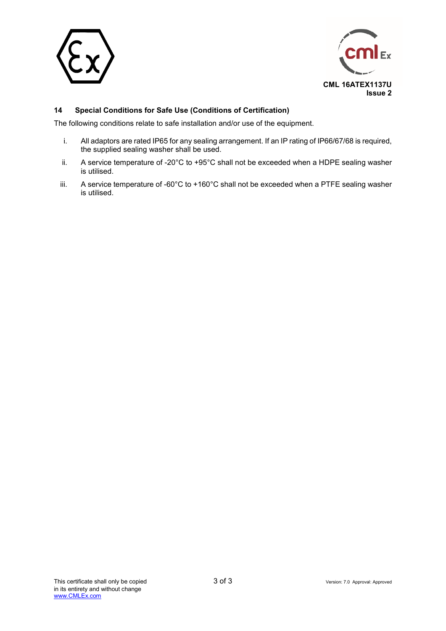



# **14 Special Conditions for Safe Use (Conditions of Certification)**

The following conditions relate to safe installation and/or use of the equipment.

- i. All adaptors are rated IP65 for any sealing arrangement. If an IP rating of IP66/67/68 is required, the supplied sealing washer shall be used.
- ii. A service temperature of -20°C to +95°C shall not be exceeded when a HDPE sealing washer is utilised.
- iii. A service temperature of -60°C to +160°C shall not be exceeded when a PTFE sealing washer is utilised.